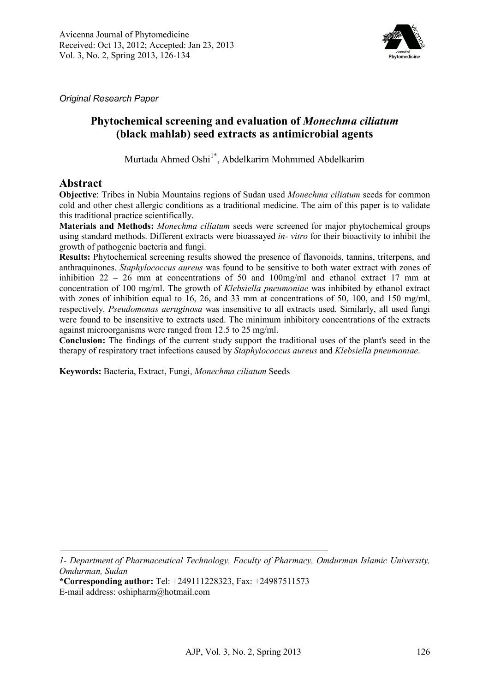

*Original Research Paper* 

## **Phytochemical screening and evaluation of** *Monechma ciliatum* **(black mahlab) seed extracts as antimicrobial agents**

Murtada Ahmed Oshi<sup>1\*</sup>, Abdelkarim Mohmmed Abdelkarim

## **Abstract**

**Objective**: Tribes in Nubia Mountains regions of Sudan used *Monechma ciliatum* seeds for common cold and other chest allergic conditions as a traditional medicine. The aim of this paper is to validate this traditional practice scientifically.

**Materials and Methods:** *Monechma ciliatum* seeds were screened for major phytochemical groups using standard methods. Different extracts were bioassayed *in- vitro* for their bioactivity to inhibit the growth of pathogenic bacteria and fungi.

**Results:** Phytochemical screening results showed the presence of flavonoids, tannins, triterpens, and anthraquinones. *Staphylococcus aureus* was found to be sensitive to both water extract with zones of inhibition 22 – 26 mm at concentrations of 50 and 100mg/ml and ethanol extract 17 mm at concentration of 100 mg/ml. The growth of *Klebsiella pneumoniae* was inhibited by ethanol extract with zones of inhibition equal to 16, 26, and 33 mm at concentrations of 50, 100, and 150 mg/ml, respectively. *Pseudomonas aeruginosa* was insensitive to all extracts used*.* Similarly, all used fungi were found to be insensitive to extracts used. The minimum inhibitory concentrations of the extracts against microorganisms were ranged from 12.5 to 25 mg/ml.

**Conclusion:** The findings of the current study support the traditional uses of the plant's seed in the therapy of respiratory tract infections caused by *Staphylococcus aureus* and *Klebsiella pneumoniae*.

**Keywords:** Bacteria, Extract, Fungi, *Monechma ciliatum* Seeds

*<sup>1-</sup> Department of Pharmaceutical Technology, Faculty of Pharmacy, Omdurman Islamic University, Omdurman, Sudan* 

**<sup>\*</sup>Corresponding author:** Tel: +249111228323, Fax: +24987511573 E-mail address: oshipharm@hotmail.com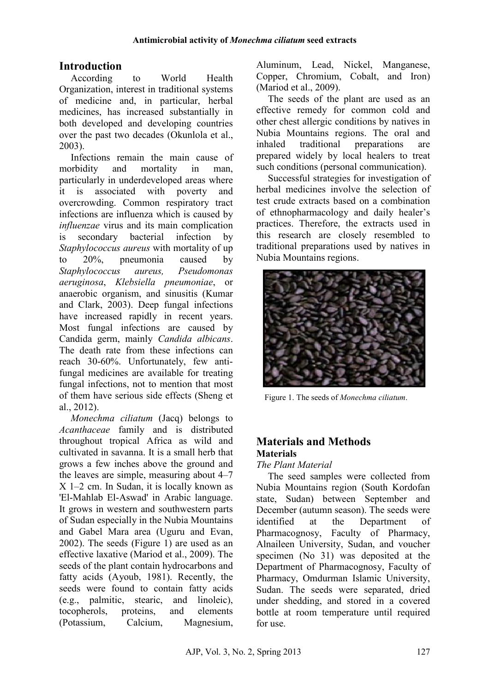## **Introduction**

According to World Health Organization, interest in traditional systems of medicine and, in particular, herbal medicines, has increased substantially in both developed and developing countries over the past two decades (Okunlola et al., 2003).

Infections remain the main cause of morbidity and mortality in man, particularly in underdeveloped areas where it is associated with poverty and overcrowding. Common respiratory tract infections are influenza which is caused by *influenzae* virus and its main complication is secondary bacterial infection by *Staphylococcus aureus* with mortality of up to 20%, pneumonia caused by *Staphylococcus aureus, Pseudomonas aeruginosa*, *Klebsiella pneumoniae*, or anaerobic organism, and sinusitis (Kumar and Clark, 2003). Deep fungal infections have increased rapidly in recent years. Most fungal infections are caused by Candida germ, mainly *Candida albicans*. The death rate from these infections can reach 30-60%. Unfortunately, few antifungal medicines are available for treating fungal infections, not to mention that most of them have serious side effects (Sheng et al., 2012).

*Monechma ciliatum* (Jacq) belongs to *Acanthaceae* family and is distributed throughout tropical Africa as wild and cultivated in savanna. It is a small herb that grows a few inches above the ground and the leaves are simple, measuring about 4–7 X 1–2 cm. In Sudan, it is locally known as 'El-Mahlab El-Aswad' in Arabic language. It grows in western and southwestern parts of Sudan especially in the Nubia Mountains and Gabel Mara area (Uguru and Evan, 2002). The seeds (Figure 1) are used as an effective laxative (Mariod et al., 2009). The seeds of the plant contain hydrocarbons and fatty acids (Ayoub, 1981). Recently, the seeds were found to contain fatty acids (e.g., palmitic, stearic, and linoleic), tocopherols, proteins, and elements (Potassium, Calcium, Magnesium, Aluminum, Lead, Nickel, Manganese, Copper, Chromium, Cobalt, and Iron) (Mariod et al., 2009).

The seeds of the plant are used as an effective remedy for common cold and other chest allergic conditions by natives in Nubia Mountains regions. The oral and inhaled traditional preparations are prepared widely by local healers to treat such conditions (personal communication).

Successful strategies for investigation of herbal medicines involve the selection of test crude extracts based on a combination of ethnopharmacology and daily healer's practices. Therefore, the extracts used in this research are closely resembled to traditional preparations used by natives in Nubia Mountains regions.



Figure 1. The seeds of *Monechma ciliatum*.

## **Materials and Methods Materials**

### *The Plant Material*

The seed samples were collected from Nubia Mountains region (South Kordofan state, Sudan) between September and December (autumn season). The seeds were identified at the Department of Pharmacognosy, Faculty of Pharmacy, Alnaileen University, Sudan, and voucher specimen (No 31) was deposited at the Department of Pharmacognosy, Faculty of Pharmacy, Omdurman Islamic University, Sudan. The seeds were separated, dried under shedding, and stored in a covered bottle at room temperature until required for use.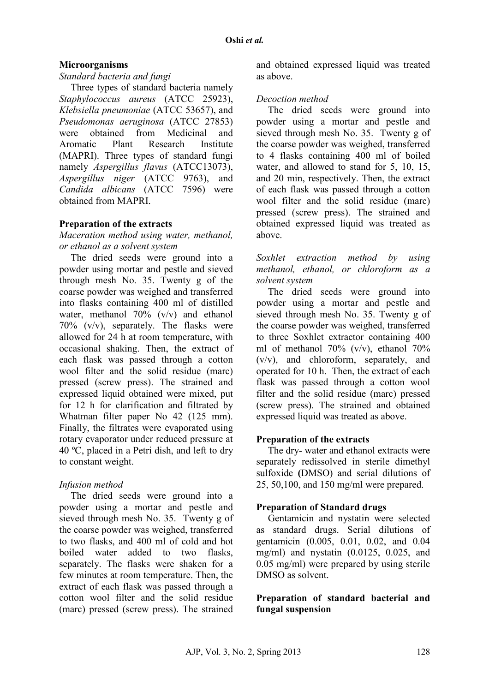### **Microorganisms**

#### *Standard bacteria and fungi*

Three types of standard bacteria namely *Staphylococcus aureus* (ATCC 25923), *Klebsiella pneumoniae* (ATCC 53657), and *Pseudomonas aeruginosa* (ATCC 27853) were obtained from Medicinal and Aromatic Plant Research Institute (MAPRI). Three types of standard fungi namely *Aspergillus flavus* (ATCC13073), *Aspergillus niger* (ATCC 9763), and *Candida albicans* (ATCC 7596) were obtained from MAPRI.

## **Preparation of the extracts**

*Maceration method using water, methanol, or ethanol as a solvent system* 

The dried seeds were ground into a powder using mortar and pestle and sieved through mesh No. 35. Twenty g of the coarse powder was weighed and transferred into flasks containing 400 ml of distilled water, methanol 70% (v/v) and ethanol 70% (v/v), separately. The flasks were allowed for 24 h at room temperature, with occasional shaking. Then, the extract of each flask was passed through a cotton wool filter and the solid residue (marc) pressed (screw press). The strained and expressed liquid obtained were mixed, put for 12 h for clarification and filtrated by Whatman filter paper No 42 (125 mm). Finally, the filtrates were evaporated using rotary evaporator under reduced pressure at 40 ºC, placed in a Petri dish, and left to dry to constant weight.

## *Infusion method*

The dried seeds were ground into a powder using a mortar and pestle and sieved through mesh No. 35. Twenty g of the coarse powder was weighed, transferred to two flasks, and 400 ml of cold and hot boiled water added to two flasks, separately. The flasks were shaken for a few minutes at room temperature. Then, the extract of each flask was passed through a cotton wool filter and the solid residue (marc) pressed (screw press). The strained and obtained expressed liquid was treated as above.

## *Decoction method*

The dried seeds were ground into powder using a mortar and pestle and sieved through mesh No. 35. Twenty g of the coarse powder was weighed, transferred to 4 flasks containing 400 ml of boiled water, and allowed to stand for 5, 10, 15, and 20 min, respectively. Then, the extract of each flask was passed through a cotton wool filter and the solid residue (marc) pressed (screw press). The strained and obtained expressed liquid was treated as above.

*Soxhlet extraction method by using methanol, ethanol, or chloroform as a solvent system* 

The dried seeds were ground into powder using a mortar and pestle and sieved through mesh No. 35. Twenty g of the coarse powder was weighed, transferred to three Soxhlet extractor containing 400 ml of methanol 70% (v/v), ethanol 70% (v/v), and chloroform, separately, and operated for 10 h. Then, the extract of each flask was passed through a cotton wool filter and the solid residue (marc) pressed (screw press). The strained and obtained expressed liquid was treated as above.

### **Preparation of the extracts**

The dry- water and ethanol extracts were separately redissolved in sterile dimethyl sulfoxide **(**DMSO) and serial dilutions of 25, 50,100, and 150 mg/ml were prepared.

### **Preparation of Standard drugs**

Gentamicin and nystatin were selected as standard drugs. Serial dilutions of gentamicin (0.005, 0.01, 0.02, and 0.04 mg/ml) and nystatin (0.0125, 0.025, and 0.05 mg/ml) were prepared by using sterile DMSO as solvent.

### **Preparation of standard bacterial and fungal suspension**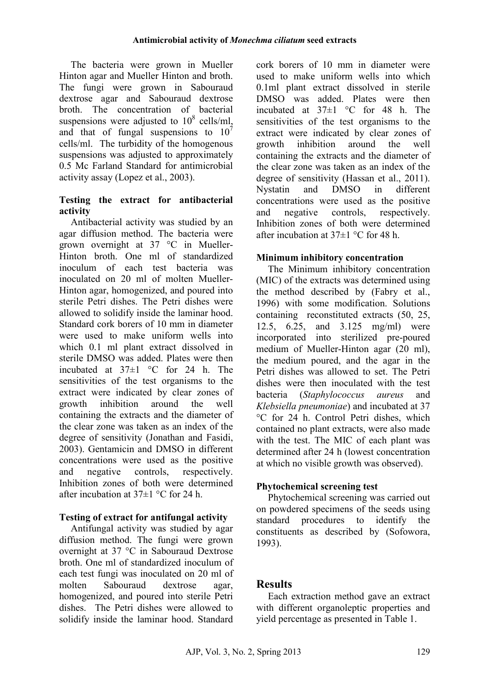The bacteria were grown in Mueller Hinton agar and Mueller Hinton and broth. The fungi were grown in Sabouraud dextrose agar and Sabouraud dextrose broth. The concentration of bacterial suspensions were adjusted to  $10^8$  cells/ml, and that of fungal suspensions to  $10^7$ cells/ml. The turbidity of the homogenous suspensions was adjusted to approximately 0.5 Mc Farland Standard for antimicrobial activity assay (Lopez et al., 2003).

## **Testing the extract for antibacterial activity**

Antibacterial activity was studied by an agar diffusion method. The bacteria were grown overnight at 37 °C in Mueller-Hinton broth. One ml of standardized inoculum of each test bacteria was inoculated on 20 ml of molten Mueller-Hinton agar, homogenized, and poured into sterile Petri dishes. The Petri dishes were allowed to solidify inside the laminar hood. Standard cork borers of 10 mm in diameter were used to make uniform wells into which 0.1 ml plant extract dissolved in sterile DMSO was added. Plates were then incubated at  $37\pm1$  °C for 24 h. The sensitivities of the test organisms to the extract were indicated by clear zones of growth inhibition around the well containing the extracts and the diameter of the clear zone was taken as an index of the degree of sensitivity (Jonathan and Fasidi, 2003). Gentamicin and DMSO in different concentrations were used as the positive and negative controls, respectively. Inhibition zones of both were determined after incubation at 37±1 °C for 24 h.

## **Testing of extract for antifungal activity**

Antifungal activity was studied by agar diffusion method. The fungi were grown overnight at 37 °C in Sabouraud Dextrose broth. One ml of standardized inoculum of each test fungi was inoculated on 20 ml of molten Sabouraud dextrose agar, homogenized, and poured into sterile Petri dishes. The Petri dishes were allowed to solidify inside the laminar hood. Standard

cork borers of 10 mm in diameter were used to make uniform wells into which 0.1ml plant extract dissolved in sterile DMSO was added. Plates were then incubated at 37±1 °C for 48 h. The sensitivities of the test organisms to the extract were indicated by clear zones of growth inhibition around the well containing the extracts and the diameter of the clear zone was taken as an index of the degree of sensitivity (Hassan et al., 2011). Nystatin and DMSO in different concentrations were used as the positive and negative controls, respectively. Inhibition zones of both were determined after incubation at 37±1 °C for 48 h.

## **Minimum inhibitory concentration**

The Minimum inhibitory concentration (MIC) of the extracts was determined using the method described by (Fabry et al., 1996) with some modification. Solutions containing reconstituted extracts (50, 25, 12.5, 6.25, and 3.125 mg/ml) were incorporated into sterilized pre-poured medium of Mueller-Hinton agar (20 ml), the medium poured, and the agar in the Petri dishes was allowed to set. The Petri dishes were then inoculated with the test bacteria (*Staphylococcus aureus* and *Klebsiella pneumoniae*) and incubated at 37 °C for 24 h. Control Petri dishes, which contained no plant extracts, were also made with the test. The MIC of each plant was determined after 24 h (lowest concentration at which no visible growth was observed).

## **Phytochemical screening test**

Phytochemical screening was carried out on powdered specimens of the seeds using standard procedures to identify the constituents as described by (Sofowora, 1993).

## **Results**

Each extraction method gave an extract with different organoleptic properties and yield percentage as presented in Table 1.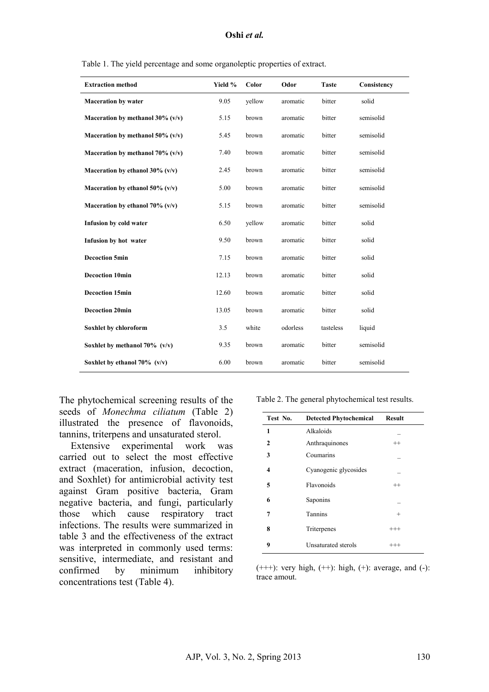#### **Oshi** *et al.*

| <b>Extraction method</b>            | Yield % | Color  | Odor     | <b>Taste</b> | Consistency |
|-------------------------------------|---------|--------|----------|--------------|-------------|
| <b>Maceration by water</b>          | 9.05    | yellow | aromatic | bitter       | solid       |
| Maceration by methanol $30\%$ (v/v) | 5.15    | brown  | aromatic | bitter       | semisolid   |
| Maceration by methanol $50\%$ (v/v) | 5.45    | brown  | aromatic | bitter       | semisolid   |
| Maceration by methanol 70% $(v/v)$  | 7.40    | brown  | aromatic | bitter       | semisolid   |
| Maceration by ethanol $30\%$ (v/v)  | 2.45    | brown  | aromatic | bitter       | semisolid   |
| Maceration by ethanol $50\%$ (v/v)  | 5.00    | brown  | aromatic | bitter       | semisolid   |
| Maceration by ethanol $70\%$ (v/v)  | 5.15    | brown  | aromatic | bitter       | semisolid   |
| Infusion by cold water              | 6.50    | yellow | aromatic | bitter       | solid       |
| Infusion by hot water               | 9.50    | brown  | aromatic | bitter       | solid       |
| <b>Decoction 5min</b>               | 7.15    | brown  | aromatic | bitter       | solid       |
| <b>Decoction 10min</b>              | 12.13   | brown  | aromatic | bitter       | solid       |
| <b>Decoction 15min</b>              | 12.60   | brown  | aromatic | bitter       | solid       |
| <b>Decoction 20min</b>              | 13.05   | brown  | aromatic | bitter       | solid       |
| Soxhlet by chloroform               | 3.5     | white  | odorless | tasteless    | liquid      |
| Soxhlet by methanol $70\%$ (v/v)    | 9.35    | brown  | aromatic | bitter       | semisolid   |
| Soxhlet by ethanol 70% $(v/v)$      | 6.00    | brown  | aromatic | bitter       | semisolid   |

Table 1. The yield percentage and some organoleptic properties of extract.

The phytochemical screening results of the seeds of *Monechma ciliatum* (Table 2) illustrated the presence of flavonoids, tannins, triterpens and unsaturated sterol.

Extensive experimental work was carried out to select the most effective extract (maceration, infusion, decoction, and Soxhlet) for antimicrobial activity test against Gram positive bacteria, Gram negative bacteria, and fungi, particularly those which cause respiratory tract infections. The results were summarized in table 3 and the effectiveness of the extract was interpreted in commonly used terms: sensitive, intermediate, and resistant and confirmed by minimum inhibitory concentrations test (Table 4).

Table 2. The general phytochemical test results.

| Test No. | <b>Detected Phytochemical</b> | <b>Result</b> |
|----------|-------------------------------|---------------|
| 1        | Alkaloids                     |               |
| 2        | Anthraquinones                | $^{++}$       |
| 3        | Coumarins                     |               |
| 4        | Cyanogenic glycosides         |               |
| 5        | Flavonoids                    | $^{++}$       |
| 6        | Saponins                      |               |
| 7        | Tannins                       | $^{+}$        |
| 8        | Triterpenes                   | $^{+++}$      |
| 9        | Unsaturated sterols           | $^{+++}$      |

 $(++)$ : very high,  $(++)$ : high,  $(+)$ : average, and  $(-)$ : trace amout.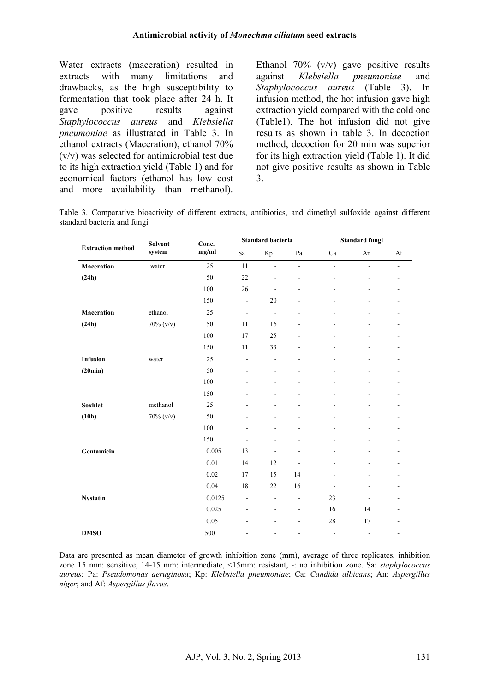Water extracts (maceration) resulted in extracts with many limitations and drawbacks, as the high susceptibility to fermentation that took place after 24 h. It gave positive results against *Staphylococcus aureus* and *Klebsiella pneumoniae* as illustrated in Table 3. In ethanol extracts (Maceration), ethanol 70% (v/v) was selected for antimicrobial test due to its high extraction yield (Table 1) and for economical factors (ethanol has low cost and more availability than methanol).

Ethanol 70% (v/v) gave positive results against *Klebsiella pneumoniae* and *Staphylococcus aureus* (Table 3). In infusion method, the hot infusion gave high extraction yield compared with the cold one (Table1). The hot infusion did not give results as shown in table 3. In decoction method, decoction for 20 min was superior for its high extraction yield (Table 1). It did not give positive results as shown in Table 3.

Table 3. Comparative bioactivity of different extracts, antibiotics, and dimethyl sulfoxide against different standard bacteria and fungi

| <b>Extraction method</b> | <b>Solvent</b><br>system | Conc.  | Standard bacteria            |                          |                          | <b>Standard fungi</b> |                |                          |
|--------------------------|--------------------------|--------|------------------------------|--------------------------|--------------------------|-----------------------|----------------|--------------------------|
|                          |                          | mg/ml  | Sa                           | Kp                       | Pa                       | Ca                    | An             | Af                       |
| Maceration               | water                    | 25     | 11                           | ä,                       | $\overline{a}$           | ÷,                    | $\overline{a}$ | $\blacksquare$           |
| (24h)                    |                          | 50     | 22                           | ÷,                       | L,                       |                       | $\overline{a}$ |                          |
|                          |                          | 100    | 26                           | $\overline{\phantom{0}}$ | L,                       |                       | ä,             | $\overline{a}$           |
|                          |                          | 150    | $\blacksquare$               | 20                       | $\overline{\phantom{0}}$ | ٠                     | $\overline{a}$ | $\overline{\phantom{0}}$ |
| <b>Maceration</b>        | ethanol                  | 25     | $\frac{1}{2}$                | $\overline{\phantom{a}}$ | $\overline{a}$           |                       |                |                          |
| (24h)                    | $70\%$ (v/v)             | 50     | 11                           | 16                       |                          |                       | ۰              | ۰                        |
|                          |                          | 100    | 17                           | 25                       |                          |                       |                |                          |
|                          |                          | 150    | 11                           | 33                       | L,                       |                       |                |                          |
| <b>Infusion</b>          | water                    | 25     | $\overline{a}$               | $\overline{a}$           | L,                       |                       |                | $\overline{\phantom{0}}$ |
| (20min)                  |                          | 50     | $\overline{a}$               | ÷.                       | $\overline{a}$           |                       | ä,             | ۰                        |
|                          |                          | 100    | $\overline{\phantom{0}}$     | ÷,                       | $\overline{a}$           | ÷,                    | $\overline{a}$ | $\overline{a}$           |
|                          |                          | 150    | ۰                            |                          |                          |                       |                |                          |
| Soxhlet                  | methanol                 | 25     |                              |                          |                          |                       |                |                          |
| (10h)                    | $70\%$ (v/v)             | 50     | L,                           | ۰                        | ٠                        | ۰                     | ۰              | ۰                        |
|                          |                          | 100    | L,                           |                          | L,                       |                       |                | ۰                        |
|                          |                          | 150    | $\overline{a}$               | $\overline{\phantom{a}}$ | $\overline{\phantom{a}}$ | ۰                     | ۰              | ۰                        |
| Gentamicin               |                          | 0.005  | 13                           |                          |                          |                       |                |                          |
|                          |                          | 0.01   | 14                           | 12                       | $\overline{a}$           |                       | $\overline{a}$ | ۰                        |
|                          |                          | 0.02   | 17                           | 15                       | 14                       |                       |                |                          |
|                          |                          | 0.04   | 18                           | 22                       | 16                       |                       | L,             | L.                       |
| <b>Nystatin</b>          |                          | 0.0125 | $\frac{1}{2}$                | $\overline{a}$           | $\overline{a}$           | 23                    | $\overline{a}$ | $\overline{\phantom{0}}$ |
|                          |                          | 0.025  | $\qquad \qquad \blacksquare$ | $\overline{\phantom{a}}$ | $\overline{\phantom{0}}$ | 16                    | 14             |                          |
|                          |                          | 0.05   | $\overline{a}$               | Ĭ.                       | $\overline{a}$           | 28                    | 17             | $\overline{\phantom{a}}$ |
| <b>DMSO</b>              |                          | 500    | $\overline{a}$               | $\overline{\phantom{0}}$ | $\overline{\phantom{0}}$ | $\blacksquare$        | $\blacksquare$ | $\overline{\phantom{a}}$ |

Data are presented as mean diameter of growth inhibition zone (mm), average of three replicates, inhibition zone 15 mm: sensitive, 14-15 mm: intermediate, <15mm: resistant, -: no inhibition zone. Sa: *staphylococcus aureus*; Pa: *Pseudomonas aeruginosa*; Kp: *Klebsiella pneumoniae*; Ca: *Candida albicans*; An: *Aspergillus niger*; and Af: *Aspergillus flavus*.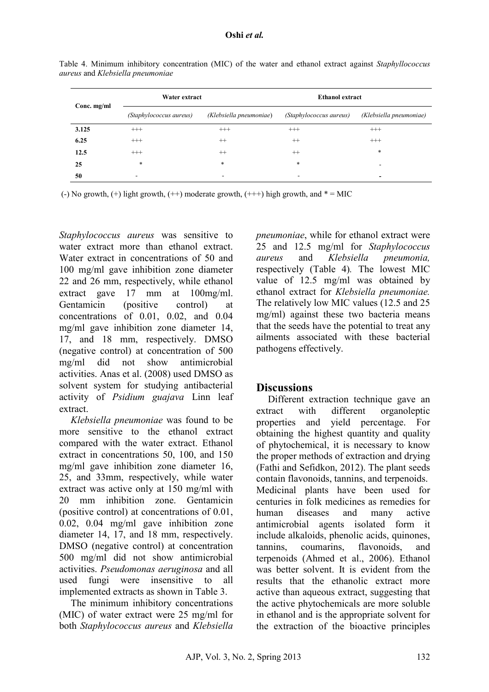| Conc. mg/ml | Water extract           |                         | <b>Ethanol extract</b>  |                         |  |  |
|-------------|-------------------------|-------------------------|-------------------------|-------------------------|--|--|
|             | (Staphylococcus aureus) | (Klebsiella pneumoniae) | (Staphylococcus aureus) | (Klebsiella pneumoniae) |  |  |
| 3.125       | $^{+++}$                | $^{+++}$                | $^{+++}$                | $^{+++}$                |  |  |
| 6.25        | $^{+++}$                | $^{++}$                 | $^{++}$                 | $^{+++}$                |  |  |
| 12.5        | $^{+++}$                | $^{++}$                 | $++$                    | *                       |  |  |
| 25          | $\ast$                  | *                       | $\ast$                  |                         |  |  |
| 50          |                         |                         | -                       |                         |  |  |

Table 4. Minimum inhibitory concentration (MIC) of the water and ethanol extract against *Staphyllococcus aureus* and *Klebsiella pneumoniae*

(-) No growth, (+) light growth, (++) moderate growth, (+++) high growth, and  $* =$  MIC

*Staphylococcus aureus* was sensitive to water extract more than ethanol extract. Water extract in concentrations of 50 and 100 mg/ml gave inhibition zone diameter 22 and 26 mm, respectively, while ethanol extract gave 17 mm at 100mg/ml. Gentamicin (positive control) at concentrations of 0.01, 0.02, and 0.04 mg/ml gave inhibition zone diameter 14, 17, and 18 mm, respectively. DMSO (negative control) at concentration of 500 mg/ml did not show antimicrobial activities. Anas et al. (2008) used DMSO as solvent system for studying antibacterial activity of *Psidium guajava* Linn leaf extract.

*Klebsiella pneumoniae* was found to be more sensitive to the ethanol extract compared with the water extract. Ethanol extract in concentrations 50, 100, and 150 mg/ml gave inhibition zone diameter 16, 25, and 33mm, respectively, while water extract was active only at 150 mg/ml with 20 mm inhibition zone. Gentamicin (positive control) at concentrations of 0.01, 0.02, 0.04 mg/ml gave inhibition zone diameter 14, 17, and 18 mm, respectively. DMSO (negative control) at concentration 500 mg/ml did not show antimicrobial activities. *Pseudomonas aeruginosa* and all used fungi were insensitive to all implemented extracts as shown in Table 3.

The minimum inhibitory concentrations (MIC) of water extract were 25 mg/ml for both *Staphylococcus aureus* and *Klebsiella*  *pneumoniae*, while for ethanol extract were 25 and 12.5 mg/ml for *Staphylococcus aureus* and *Klebsiella pneumonia,*  respectively (Table 4)*.* The lowest MIC value of 12.5 mg/ml was obtained by ethanol extract for *Klebsiella pneumoniae.*  The relatively low MIC values (12.5 and 25 mg/ml) against these two bacteria means that the seeds have the potential to treat any ailments associated with these bacterial pathogens effectively.

# **Discussions**

Different extraction technique gave an extract with different organoleptic properties and yield percentage. For obtaining the highest quantity and quality of phytochemical, it is necessary to know the proper methods of extraction and drying (Fathi and Sefidkon, 2012). The plant seeds contain flavonoids, tannins, and terpenoids. Medicinal plants have been used for centuries in folk medicines as remedies for human diseases and many active antimicrobial agents isolated form it include alkaloids, phenolic acids, quinones, tannins, coumarins, flavonoids, and terpenoids (Ahmed et al., 2006). Ethanol was better solvent. It is evident from the results that the ethanolic extract more active than aqueous extract, suggesting that the active phytochemicals are more soluble in ethanol and is the appropriate solvent for the extraction of the bioactive principles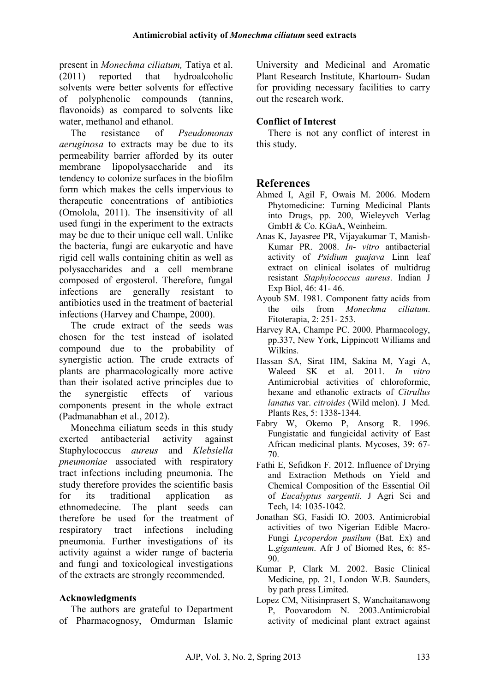present in *Monechma ciliatum,* Tatiya et al. (2011) reported that hydroalcoholic solvents were better solvents for effective of polyphenolic compounds (tannins, flavonoids) as compared to solvents like water, methanol and ethanol.

The resistance of *Pseudomonas aeruginosa* to extracts may be due to its permeability barrier afforded by its outer membrane lipopolysaccharide and its tendency to colonize surfaces in the biofilm form which makes the cells impervious to therapeutic concentrations of antibiotics (Omolola, 2011). The insensitivity of all used fungi in the experiment to the extracts may be due to their unique cell wall. Unlike the bacteria, fungi are eukaryotic and have rigid cell walls containing chitin as well as polysaccharides and a cell membrane composed of ergosterol. Therefore, fungal infections are generally resistant to antibiotics used in the treatment of bacterial infections (Harvey and Champe, 2000).

The crude extract of the seeds was chosen for the test instead of isolated compound due to the probability of synergistic action. The crude extracts of plants are pharmacologically more active than their isolated active principles due to the synergistic effects of various components present in the whole extract (Padmanabhan et al., 2012).

Monechma ciliatum seeds in this study exerted antibacterial activity against Staphylococcus *aureus* and *Klebsiella pneumoniae* associated with respiratory tract infections including pneumonia. The study therefore provides the scientific basis for its traditional application as ethnomedecine. The plant seeds can therefore be used for the treatment of respiratory tract infections including pneumonia. Further investigations of its activity against a wider range of bacteria and fungi and toxicological investigations of the extracts are strongly recommended.

### **Acknowledgments**

The authors are grateful to Department of Pharmacognosy, Omdurman Islamic

University and Medicinal and Aromatic Plant Research Institute, Khartoum- Sudan for providing necessary facilities to carry out the research work.

## **Conflict of Interest**

There is not any conflict of interest in this study.

## **References**

- Ahmed I, Agil F, Owais M. 2006. Modern Phytomedicine: Turning Medicinal Plants into Drugs, pp. 200, Wieleyvch Verlag GmbH & Co. KGaA, Weinheim.
- Anas K, Jayasree PR, Vijayakumar T, Manish-Kumar PR. 2008. *In- vitro* antibacterial activity of *Psidium guajava* Linn leaf extract on clinical isolates of multidrug resistant *Staphylococcus aureus*. Indian J Exp Biol, 46: 41- 46.
- Ayoub SM. 1981. Component fatty acids from the oils from *Monechma ciliatum*. Fitoterapia, 2: 251- 253.
- Harvey RA, Champe PC. 2000. Pharmacology, pp.337, New York, Lippincott Williams and Wilkins.
- Hassan SA, Sirat HM, Sakina M, Yagi A, Waleed SK et al. 2011. *In vitro*  Antimicrobial activities of chloroformic, hexane and ethanolic extracts of *Citrullus lanatus* var. *citroides* (Wild melon). J Med. Plants Res, 5: 1338-1344.
- Fabry W, Okemo P, Ansorg R. 1996. Fungistatic and fungicidal activity of East African medicinal plants. Mycoses, 39: 67- 70.
- Fathi E, Sefidkon F. 2012. Influence of Drying and Extraction Methods on Yield and Chemical Composition of the Essential Oil of *Eucalyptus sargentii.* J Agri Sci and Tech, 14: 1035-1042.
- Jonathan SG, Fasidi IO. 2003. Antimicrobial activities of two Nigerian Edible Macro-Fungi *Lycoperdon pusilum* (Bat. Ex) and L.*giganteum*. Afr J of Biomed Res, 6: 85- 90.
- Kumar P, Clark M. 2002. Basic Clinical Medicine, pp. 21, London W.B. Saunders, by path press Limited.
- Lopez CM, Nitisinprasert S, Wanchaitanawong P, Poovarodom N. 2003.Antimicrobial activity of medicinal plant extract against